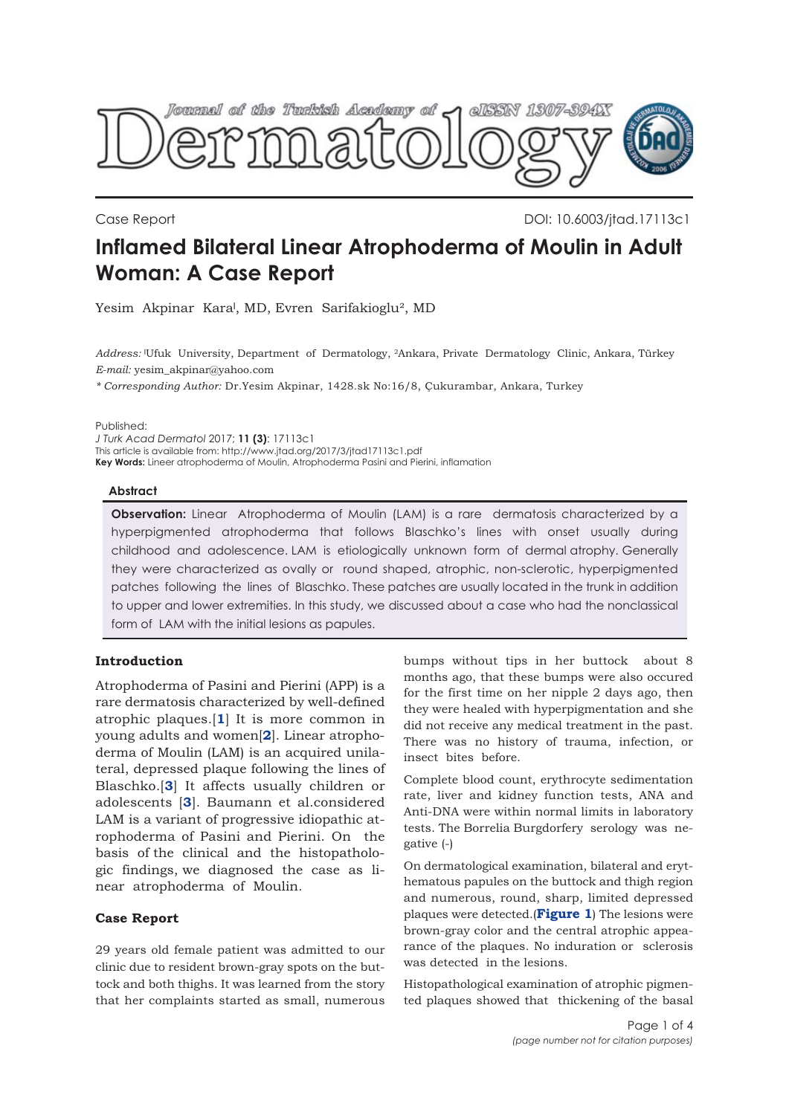

Case Report DOI: 10.6003/jtad.17113c1

# **Inflamed Bilateral Linear Atrophoderma of Moulin in Adult Woman: A Case Report**

Yesim Akpinar Kara<sup>l</sup>, MD, Evren Sarifakioglu<sup>2</sup>, MD

*Address:* ˡUfuk University, Department of Dermatology, 2Ankara, Private Dermatology Clinic, Ankara, Türkey *E-mail:* yesim\_akpinar@yahoo.com

*\* Corresponding Author:* Dr.Yesim Akpinar, 1428.sk No:16/8, Çukurambar, Ankara, Turkey

Published:

*J Turk Acad Dermatol* 2017; **11 (3)**: 17113c1 This article is available from: http://www.jtad.org/2017/3/jtad17113c1.pdf **Key Words:** Lineer atrophoderma of Moulin, Atrophoderma Pasini and Pierini, inflamation

#### **Abstract**

**Observation:** Linear Atrophoderma of Moulin (LAM) is a rare dermatosis characterized by a hyperpigmented atrophoderma that follows Blaschko's lines with onset usually during childhood and adolescence. LAM is etiologically unknown form of dermal atrophy. Generally they were characterized as ovally or round shaped, atrophic, non-sclerotic, hyperpigmented patches following the lines of Blaschko. These patches are usually located in the trunk in addition to upper and lower extremities. In this study, we discussed about a case who had the nonclassical form of LAM with the initial lesions as papules.

# **Introduction**

Atrophoderma of Pasini and Pierini (APP) is a rare dermatosis characterized by well-defined atrophic plaques.[**[1](#page-2-0)**] It is more common in young adults and women[**[2](#page-2-0)**]. Linear atrophoderma of Moulin (LAM) is an acquired unilateral, depressed plaque following the lines of Blaschko.[**[3](#page-2-0)**] It affects usually children or adolescents [**[3](#page-2-0)**]. Baumann et al.considered LAM is a variant of progressive idiopathic atrophoderma of Pasini and Pierini. On the basis of the clinical and the histopathologic findings, we diagnosed the case as linear atrophoderma of Moulin.

## **Case Report**

29 years old female patient was admitted to our clinic due to resident brown-gray spots on the buttock and both thighs. It was learned from the story that her complaints started as small, numerous

bumps without tips in her buttock about 8 months ago, that these bumps were also occured for the first time on her nipple 2 days ago, then they were healed with hyperpigmentation and she did not receive any medical treatment in the past. There was no history of trauma, infection, or insect bites before.

Complete blood count, erythrocyte sedimentation rate, liver and kidney function tests, ANA and Anti-DNA were within normal limits in laboratory tests. The Borrelia Burgdorfery serology was negative (-)

On dermatological examination, bilateral and erythematous papules on the buttock and thigh region and numerous, round, sharp, limited depressed plaques were detected.(**[Figure 1](#page-1-0)**) The lesions were brown-gray color and the central atrophic appearance of the plaques. No induration or sclerosis was detected in the lesions.

Histopathological examination of atrophic pigmented plaques showed that thickening of the basal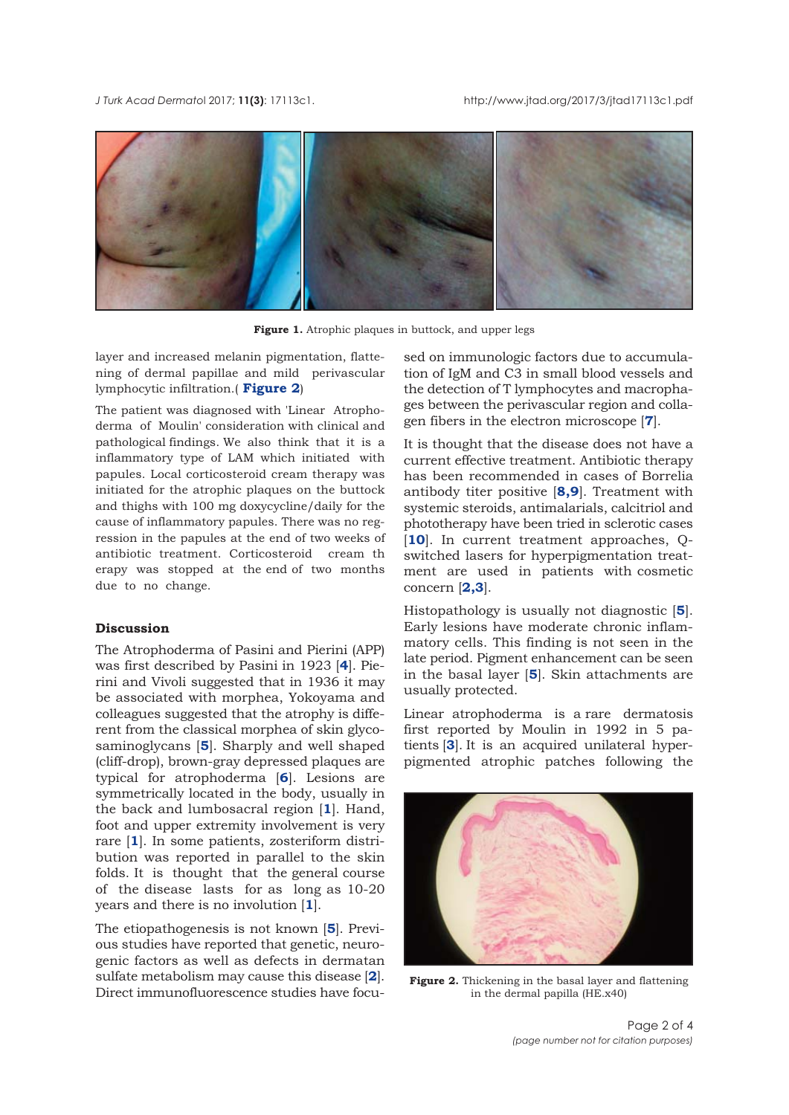<span id="page-1-0"></span>*J Turk Acad Dermato*l 2017; **11(3)**: 17113c1. http://www.jtad.org/2017/3/jtad17113c1.pdf



Figure 1. Atrophic plaques in buttock, and upper legs

layer and increased melanin pigmentation, flattening of dermal papillae and mild perivascular lymphocytic infiltration.( **Figure 2**)

The patient was diagnosed with 'Linear Atrophoderma of Moulin' consideration with clinical and pathological findings. We also think that it is a inflammatory type of LAM which initiated with papules. Local corticosteroid cream therapy was initiated for the atrophic plaques on the buttock and thighs with 100 mg doxycycline/daily for the cause of inflammatory papules. There was no regression in the papules at the end of two weeks of antibiotic treatment. Corticosteroid cream th erapy was stopped at the end of two months due to no change.

#### **Discussion**

The Atrophoderma of Pasini and Pierini (APP) was first described by Pasini in 1923 [**[4](#page-2-0)**]. Pierini and Vivoli suggested that in 1936 it may be associated with morphea, Yokoyama and colleagues suggested that the atrophy is different from the classical morphea of skin glycosaminoglycans [**[5](#page-2-0)**]. Sharply and well shaped (cliff-drop), brown-gray depressed plaques are typical for atrophoderma [**[6](#page-2-0)**]. Lesions are symmetrically located in the body, usually in the back and lumbosacral region [**[1](#page-2-0)**]. Hand, foot and upper extremity involvement is very rare [**[1](#page-2-0)**]. In some patients, zosteriform distribution was reported in parallel to the skin folds. It is thought that the general course of the disease lasts for as long as 10-20 years and there is no involution [**[1](#page-2-0)**].

The etiopathogenesis is not known [**[5](#page-2-0)**]. Previous studies have reported that genetic, neurogenic factors as well as defects in dermatan sulfate metabolism may cause this disease [**[2](#page-2-0)**]. Direct immunofluorescence studies have focu-

sed on immunologic factors due to accumulation of IgM and C3 in small blood vessels and the detection of T lymphocytes and macrophages between the perivascular region and collagen fibers in the electron microscope [**[7](#page-2-0)**].

It is thought that the disease does not have a current effective treatment. Antibiotic therapy has been recommended in cases of Borrelia antibody titer positive [**[8](#page-2-0)[,9](#page-3-0)**]. Treatment with systemic steroids, antimalarials, calcitriol and phototherapy have been tried in sclerotic cases [[10](#page-3-0)]. In current treatment approaches, Qswitched lasers for hyperpigmentation treatment are used in patients with cosmetic concern [**[2](#page-2-0),[3](#page-2-0)**].

Histopathology is usually not diagnostic [**[5](#page-2-0)**]. Early lesions have moderate chronic inflammatory cells. This finding is not seen in the late period. Pigment enhancement can be seen in the basal layer [**[5](#page-2-0)**]. Skin attachments are usually protected.

Linear atrophoderma is a rare dermatosis first reported by Moulin in 1992 in 5 patients [**[3](#page-2-0)**]. It is an acquired unilateral hyperpigmented atrophic patches following the



**Figure 2.** Thickening in the basal layer and flattening in the dermal papilla (HE.x40)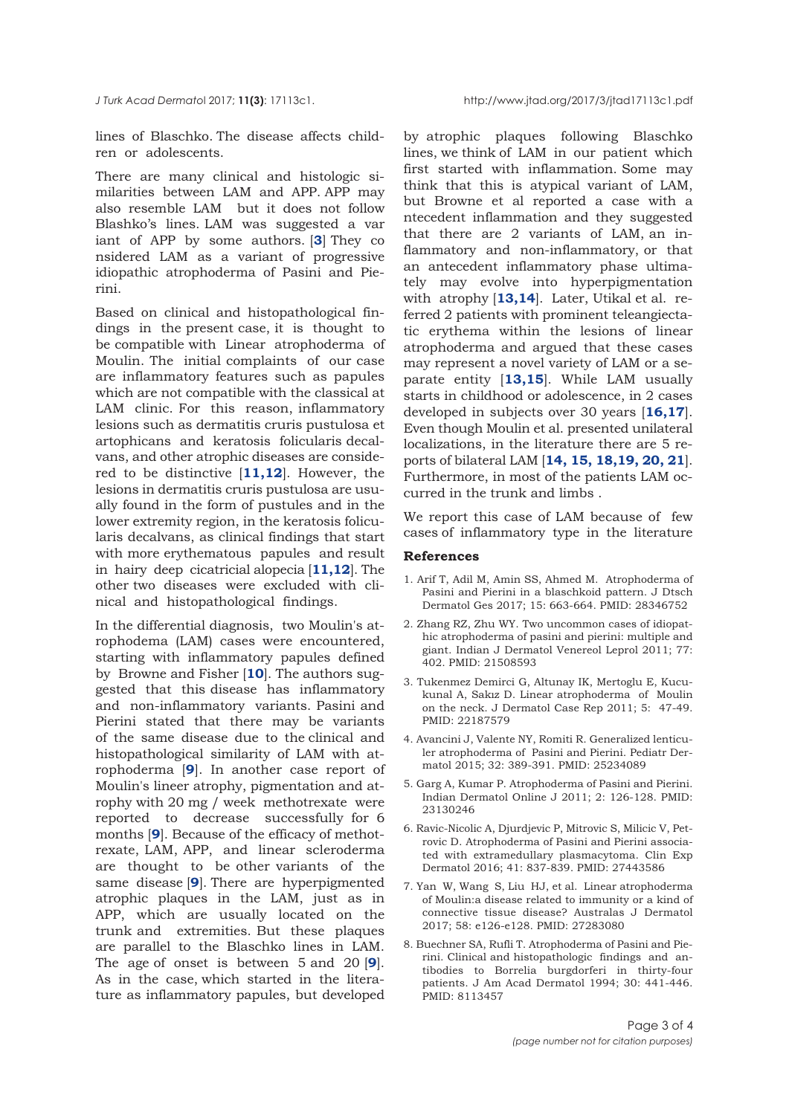<span id="page-2-0"></span>

lines of Blaschko. The disease affects children or adolescents.

There are many clinical and histologic similarities between LAM and APP. APP may also resemble LAM but it does not follow Blashko's lines. LAM was suggested a var iant of APP by some authors. [**3**] They co nsidered LAM as a variant of progressive idiopathic atrophoderma of Pasini and Pierini.

Based on clinical and histopathological findings in the present case, it is thought to be compatible with Linear atrophoderma of Moulin. The initial complaints of our case are inflammatory features such as papules which are not compatible with the classical at LAM clinic. For this reason, inflammatory lesions such as dermatitis cruris pustulosa et artophicans and keratosis folicularis decalvans, and other atrophic diseases are considered to be distinctive [**[11,12](#page-3-0)**]. However, the lesions in dermatitis cruris pustulosa are usually found in the form of pustules and in the lower extremity region, in the keratosis folicularis decalvans, as clinical findings that start with more erythematous papules and result in hairy deep cicatricial alopecia [**[11,12](#page-3-0)**]. The other two diseases were excluded with clinical and histopathological findings.

In the differential diagnosis, two Moulin's atrophodema (LAM) cases were encountered, starting with inflammatory papules defined by Browne and Fisher [**[10](#page-3-0)**]. The authors suggested that this disease has inflammatory and non-inflammatory variants. Pasini and Pierini stated that there may be variants of the same disease due to the clinical and histopathological similarity of LAM with atrophoderma [**[9](#page-3-0)**]. In another case report of Moulin's lineer atrophy, pigmentation and atrophy with 20 mg / week methotrexate were reported to decrease successfully for 6 months [**[9](#page-3-0)**]. Because of the efficacy of methotrexate, LAM, APP, and linear scleroderma are thought to be other variants of the same disease [**[9](#page-3-0)**]. There are hyperpigmented atrophic plaques in the LAM, just as in APP, which are usually located on the trunk and extremities. But these plaques are parallel to the Blaschko lines in LAM. The age of onset is between 5 and 20 [**[9](#page-3-0)**]. As in the case, which started in the literature as inflammatory papules, but developed

by atrophic plaques following Blaschko lines, we think of LAM in our patient which first started with inflammation. Some may think that this is atypical variant of LAM, but Browne et al reported a case with a ntecedent inflammation and they suggested that there are 2 variants of LAM, an inflammatory and non-inflammatory, or that an antecedent inflammatory phase ultimately may evolve into hyperpigmentation with atrophy [**[13,14](#page-3-0)**]. Later, Utikal et al. referred 2 patients with prominent teleangiectatic erythema within the lesions of linear atrophoderma and argued that these cases may represent a novel variety of LAM or a separate entity [**[13,15](#page-3-0)**]. While LAM usually starts in childhood or adolescence, in 2 cases developed in subjects over 30 years [**[16](#page-3-0),[17](#page-3-0)**]. Even though Moulin et al. presented unilateral localizations, in the literature there are 5 reports of bilateral LAM [**[14, 15, 18,19, 20, 21](#page-3-0)**]. Furthermore, in most of the patients LAM occurred in the trunk and limbs .

We report this case of LAM because of few cases of inflammatory type in the literature

## **References**

- 1. Arif T, Adil M, Amin SS, Ahmed M. Atrophoderma of Pasini and Pierini in a blaschkoid pattern. J Dtsch Dermatol Ges 2017; 15: 663-664. PMID: 28346752
- 2. Zhang RZ, Zhu WY. Two uncommon cases of idiopathic atrophoderma of pasini and pierini: multiple and giant. Indian J Dermatol Venereol Leprol 2011; 77: 402. PMID: 21508593
- 3. Tukenmez Demirci G, Altunay IK, Mertoglu E, Kucukunal A, Sakız D. Linear atrophoderma of Moulin on the neck. J Dermatol Case Rep 2011; 5: 47-49. PMID: 22187579
- 4. Avancini J, Valente NY, Romiti R. Generalized lenticuler atrophoderma of Pasini and Pierini. Pediatr Dermatol 2015; 32: 389-391. PMID: 25234089
- 5. Garg A, Kumar P. Atrophoderma of Pasini and Pierini. Indian Dermatol Online J 2011; 2: 126-128. PMID: 23130246
- 6. Ravic-Nicolic A, Djurdjevic P, Mitrovic S, Milicic V, Petrovic D. Atrophoderma of Pasini and Pierini associated with extramedullary plasmacytoma. Clin Exp Dermatol 2016; 41: 837-839. PMID: 27443586
- 7. Yan W, Wang S, Liu HJ, et al. Linear atrophoderma of Moulin:a disease related to immunity or a kind of connective tissue disease? Australas J Dermatol 2017; 58: e126-e128. PMID: 27283080
- 8. Buechner SA, Rufli T. Atrophoderma of Pasini and Pierini. Clinical and histopathologic findings and antibodies to Borrelia burgdorferi in thirty-four patients. J Am Acad Dermatol 1994; 30: 441-446. PMID: 8113457